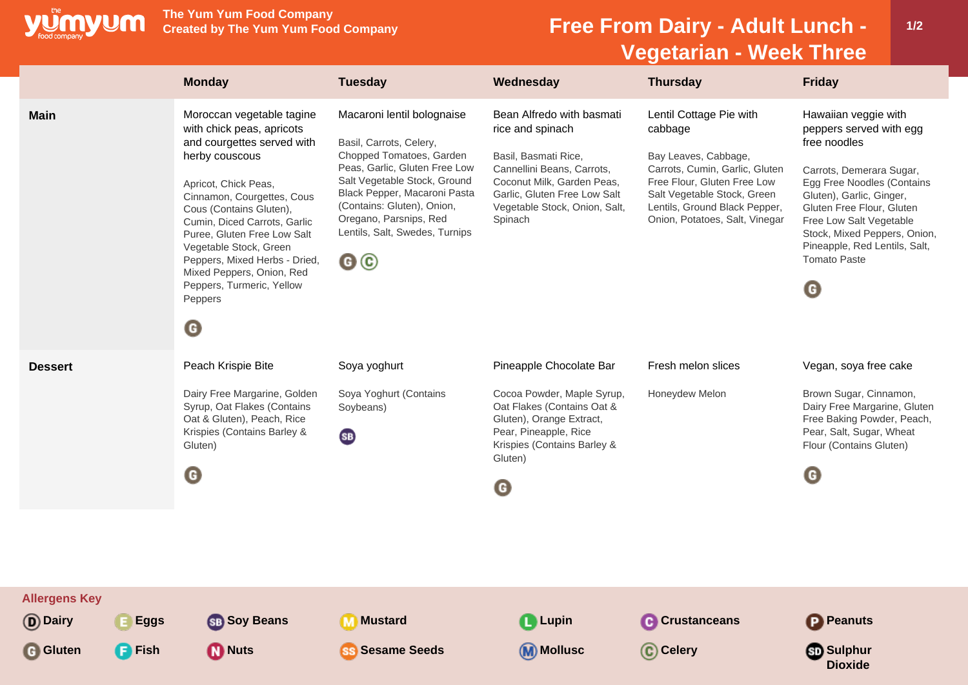

**The Yum Yum Food Company**

## **Free From Dairy - Adult Lunch -Vegetarian - Week Three**

|                                                                                 | <b>Monday</b>                                                                                                                                                                                                                                                                                                                                                                                                   | <b>Tuesday</b>                                                                                                                                                                                                                                                                                     | Wednesday                                                                                                                                                                                                     | <b>Thursday</b>                                                                                                                                                                                                               | <b>Friday</b>                                                                                                                                                                                                                                                                                              |
|---------------------------------------------------------------------------------|-----------------------------------------------------------------------------------------------------------------------------------------------------------------------------------------------------------------------------------------------------------------------------------------------------------------------------------------------------------------------------------------------------------------|----------------------------------------------------------------------------------------------------------------------------------------------------------------------------------------------------------------------------------------------------------------------------------------------------|---------------------------------------------------------------------------------------------------------------------------------------------------------------------------------------------------------------|-------------------------------------------------------------------------------------------------------------------------------------------------------------------------------------------------------------------------------|------------------------------------------------------------------------------------------------------------------------------------------------------------------------------------------------------------------------------------------------------------------------------------------------------------|
| <b>Main</b>                                                                     | Moroccan vegetable tagine<br>with chick peas, apricots<br>and courgettes served with<br>herby couscous<br>Apricot, Chick Peas,<br>Cinnamon, Courgettes, Cous<br>Cous (Contains Gluten),<br>Cumin, Diced Carrots, Garlic<br>Puree, Gluten Free Low Salt<br>Vegetable Stock, Green<br>Peppers, Mixed Herbs - Dried,<br>Mixed Peppers, Onion, Red<br>Peppers, Turmeric, Yellow<br>Peppers<br>$\boldsymbol{\Theta}$ | Macaroni lentil bolognaise<br>Basil, Carrots, Celery,<br>Chopped Tomatoes, Garden<br>Peas, Garlic, Gluten Free Low<br>Salt Vegetable Stock, Ground<br>Black Pepper, Macaroni Pasta<br>(Contains: Gluten), Onion,<br>Oregano, Parsnips, Red<br>Lentils, Salt, Swedes, Turnips<br>$\mathbf{G} \odot$ | Bean Alfredo with basmati<br>rice and spinach<br>Basil, Basmati Rice,<br>Cannellini Beans, Carrots,<br>Coconut Milk, Garden Peas,<br>Garlic, Gluten Free Low Salt<br>Vegetable Stock, Onion, Salt,<br>Spinach | Lentil Cottage Pie with<br>cabbage<br>Bay Leaves, Cabbage,<br>Carrots, Cumin, Garlic, Gluten<br>Free Flour, Gluten Free Low<br>Salt Vegetable Stock, Green<br>Lentils, Ground Black Pepper,<br>Onion, Potatoes, Salt, Vinegar | Hawaiian veggie with<br>peppers served with egg<br>free noodles<br>Carrots, Demerara Sugar,<br>Egg Free Noodles (Contains<br>Gluten), Garlic, Ginger,<br>Gluten Free Flour, Gluten<br>Free Low Salt Vegetable<br>Stock, Mixed Peppers, Onion,<br>Pineapple, Red Lentils, Salt,<br><b>Tomato Paste</b><br>O |
| <b>Dessert</b>                                                                  | Peach Krispie Bite<br>Dairy Free Margarine, Golden<br>Syrup, Oat Flakes (Contains<br>Oat & Gluten), Peach, Rice<br>Krispies (Contains Barley &<br>Gluten)<br>G                                                                                                                                                                                                                                                  | Soya yoghurt<br>Soya Yoghurt (Contains<br>Soybeans)<br>(SB)                                                                                                                                                                                                                                        | Pineapple Chocolate Bar<br>Cocoa Powder, Maple Syrup,<br>Oat Flakes (Contains Oat &<br>Gluten), Orange Extract,<br>Pear, Pineapple, Rice<br>Krispies (Contains Barley &<br>Gluten)<br>G                       | Fresh melon slices<br>Honeydew Melon                                                                                                                                                                                          | Vegan, soya free cake<br>Brown Sugar, Cinnamon,<br>Dairy Free Margarine, Gluten<br>Free Baking Powder, Peach,<br>Pear, Salt, Sugar, Wheat<br>Flour (Contains Gluten)<br>G                                                                                                                                  |
| <b>Allergens Key</b><br>(D) Dairy<br>E Eggs<br><b>G</b> Gluten<br><b>B</b> Fish | <b>SB</b> Soy Beans<br><b>M</b> Nuts                                                                                                                                                                                                                                                                                                                                                                            | <b>M</b> Mustard<br><b>SS Sesame Seeds</b>                                                                                                                                                                                                                                                         | <b>Q</b> Lupin<br><b>M</b> Mollusc                                                                                                                                                                            | <b>C</b> Crustanceans<br>C Celery                                                                                                                                                                                             | <b>P</b> Peanuts<br><b>Sulphur</b><br><b>Dioxide</b>                                                                                                                                                                                                                                                       |